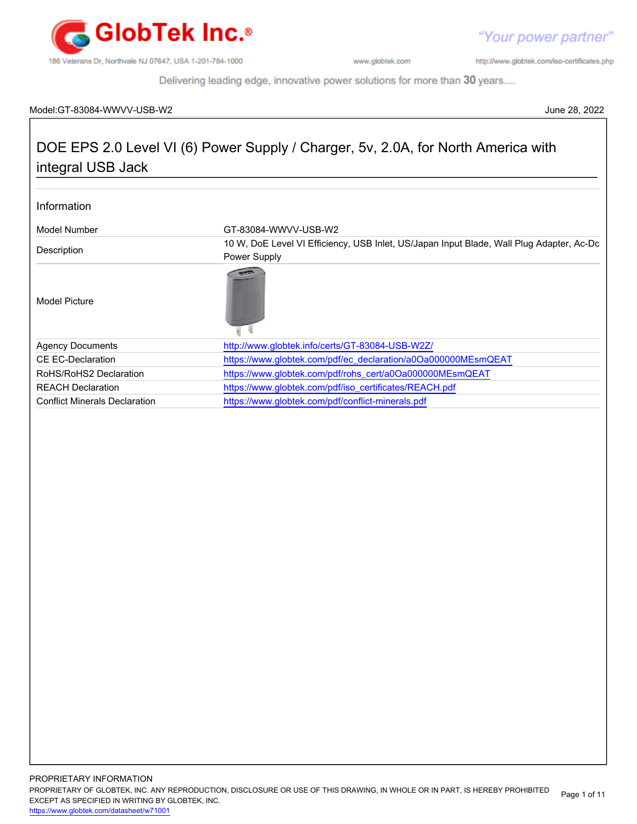

http://www.globtek.com/iso-certificates.php

Delivering leading edge, innovative power solutions for more than 30 years....

#### Model:GT-83084-WWVV-USB-W2 June 28, 2022

# DOE EPS 2.0 Level VI (6) Power Supply / Charger, 5v, 2.0A, for North America with integral USB Jack

#### Information

| Model Number                         | GT-83084-WWVV-USB-W2                                                                                     |  |
|--------------------------------------|----------------------------------------------------------------------------------------------------------|--|
| Description                          | 10 W, DoE Level VI Efficiency, USB Inlet, US/Japan Input Blade, Wall Plug Adapter, Ac-Dc<br>Power Supply |  |
| Model Picture                        |                                                                                                          |  |
| <b>Agency Documents</b>              | http://www.globtek.info/certs/GT-83084-USB-W2Z/                                                          |  |
| <b>CE EC-Declaration</b>             | https://www.globtek.com/pdf/ec_declaration/a0Oa000000MEsmQEAT                                            |  |
| RoHS/RoHS2 Declaration               | https://www.globtek.com/pdf/rohs_cert/a0Oa000000MEsmQEAT                                                 |  |
| <b>REACH Declaration</b>             | https://www.globtek.com/pdf/iso_certificates/REACH.pdf                                                   |  |
| <b>Conflict Minerals Declaration</b> | https://www.globtek.com/pdf/conflict-minerals.pdf                                                        |  |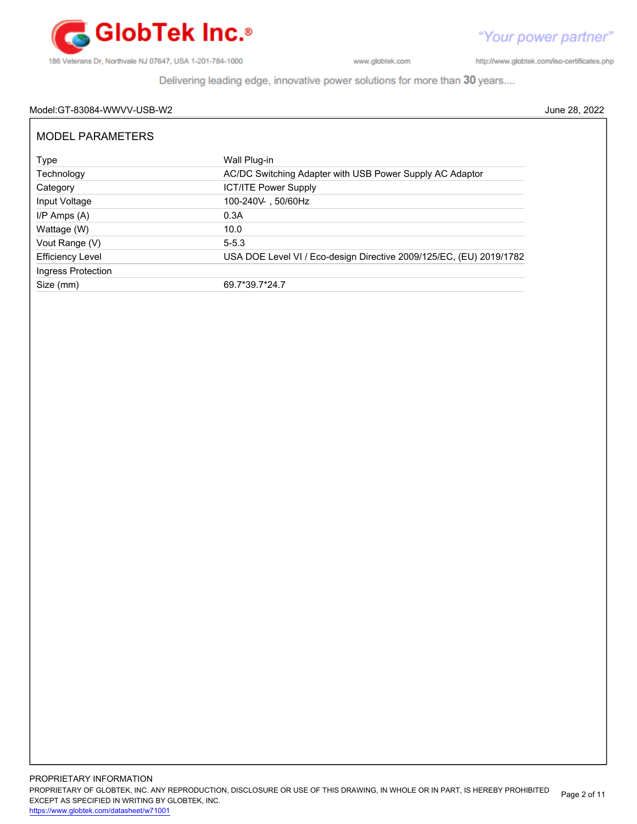

"Your power partner" http://www.globtek.com/iso-certificates.php

Delivering leading edge, innovative power solutions for more than 30 years....

#### Model:GT-83084-WWVV-USB-W2 June 28, 2022

| <b>MODEL PARAMETERS</b> |                                                                     |
|-------------------------|---------------------------------------------------------------------|
| Type                    | Wall Plug-in                                                        |
| Technology              | AC/DC Switching Adapter with USB Power Supply AC Adaptor            |
| Category                | <b>ICT/ITE Power Supply</b>                                         |
| Input Voltage           | 100-240V 50/60Hz                                                    |
| $I/P$ Amps $(A)$        | 0.3A                                                                |
| Wattage (W)             | 10.0                                                                |
| Vout Range (V)          | $5 - 5.3$                                                           |
| <b>Efficiency Level</b> | USA DOE Level VI / Eco-design Directive 2009/125/EC, (EU) 2019/1782 |
| Ingress Protection      |                                                                     |
| Size (mm)               | 69.7*39.7*24.7                                                      |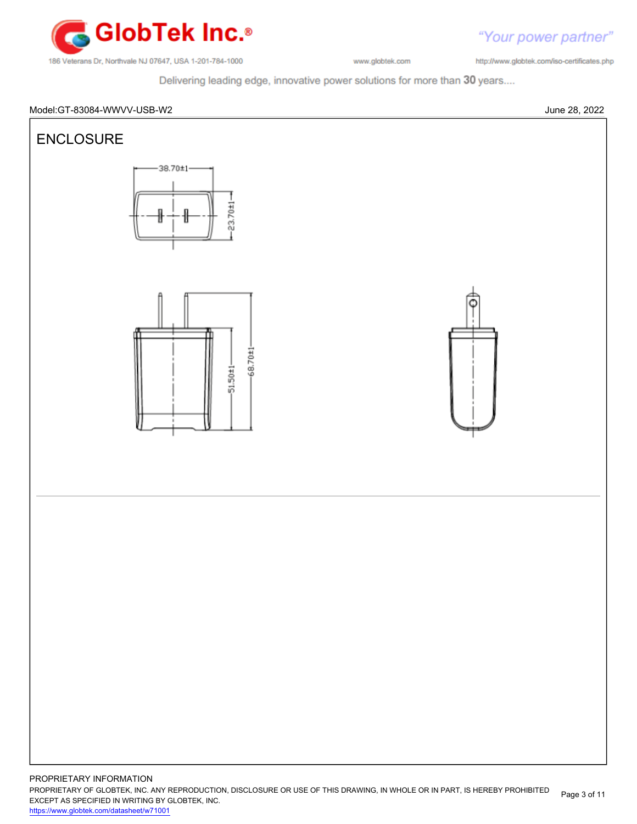

"Your power partner" http://www.globtek.com/iso-certificates.php

Delivering leading edge, innovative power solutions for more than 30 years....

#### Model:GT-83084-WWVV-USB-W2 June 28, 2022



PROPRIETARY INFORMATION PROPRIETARY OF GLOBTEK, INC. ANY REPRODUCTION, DISCLOSURE OR USE OF THIS DRAWING, IN WHOLE OR IN PART, IS HEREBY PROHIBITED EXCEPT AS SPECIFIED IN WRITING BY GLOBTEK, INC. <https://www.globtek.com/datasheet/w71001> Page 3 of 11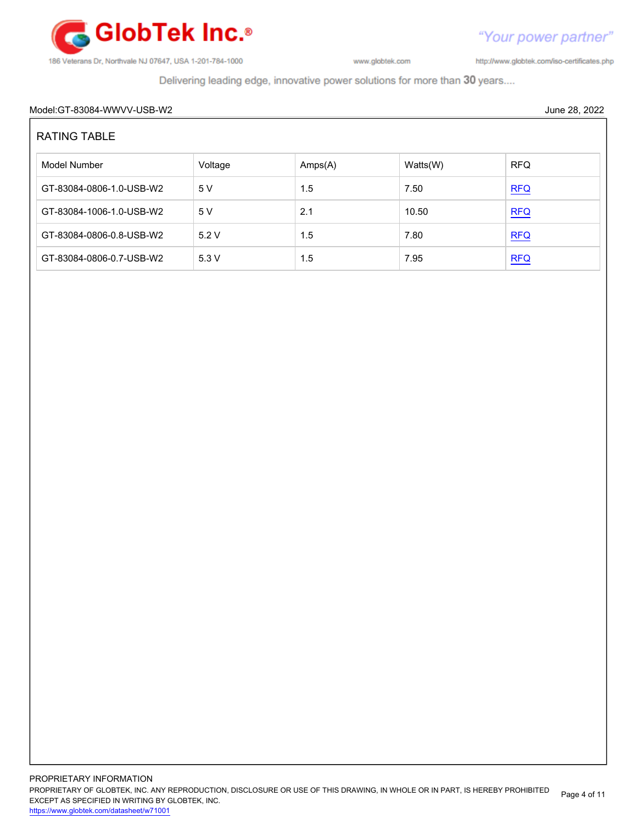

http://www.globtek.com/iso-certificates.php

Delivering leading edge, innovative power solutions for more than 30 years....

#### Model:GT-83084-WWVV-USB-W2 June 28, 2022

| <b>RATING TABLE</b>      |         |         |          |            |  |
|--------------------------|---------|---------|----------|------------|--|
| Model Number             | Voltage | Amps(A) | Watts(W) | <b>RFQ</b> |  |
| GT-83084-0806-1.0-USB-W2 | 5 V     | 1.5     | 7.50     | REQ        |  |
| GT-83084-1006-1.0-USB-W2 | 5 V     | 2.1     | 10.50    | REQ        |  |
| GT-83084-0806-0.8-USB-W2 | 5.2V    | 1.5     | 7.80     | <b>RFQ</b> |  |
| GT-83084-0806-0.7-USB-W2 | 5.3V    | 1.5     | 7.95     | <b>RFQ</b> |  |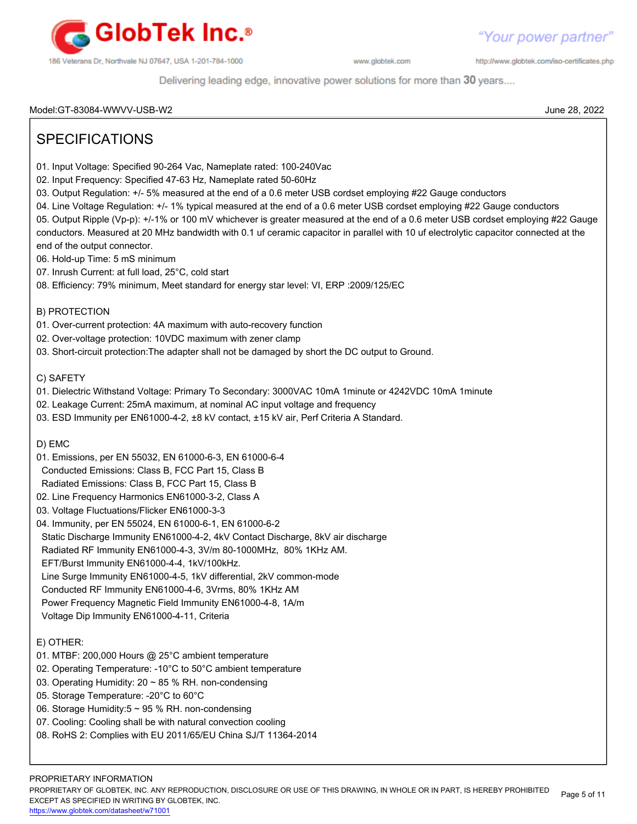

http://www.globtek.com/iso-certificates.php

Delivering leading edge, innovative power solutions for more than 30 years....

#### Model:GT-83084-WWVV-USB-W2 June 28, 2022

## SPECIFICATIONS

- 01. Input Voltage: Specified 90-264 Vac, Nameplate rated: 100-240Vac
- 02. Input Frequency: Specified 47-63 Hz, Nameplate rated 50-60Hz
- 03. Output Regulation: +/- 5% measured at the end of a 0.6 meter USB cordset employing #22 Gauge conductors
- 04. Line Voltage Regulation: +/- 1% typical measured at the end of a 0.6 meter USB cordset employing #22 Gauge conductors
- 05. Output Ripple (Vp-p): +/-1% or 100 mV whichever is greater measured at the end of a 0.6 meter USB cordset employing #22 Gauge conductors. Measured at 20 MHz bandwidth with 0.1 uf ceramic capacitor in parallel with 10 uf electrolytic capacitor connected at the
- end of the output connector.
- 06. Hold-up Time: 5 mS minimum
- 07. Inrush Current: at full load, 25°C, cold start
- 08. Efficiency: 79% minimum, Meet standard for energy star level: VI, ERP :2009/125/EC

#### B) PROTECTION

- 01. Over-current protection: 4A maximum with auto-recovery function
- 02. Over-voltage protection: 10VDC maximum with zener clamp
- 03. Short-circuit protection:The adapter shall not be damaged by short the DC output to Ground.

#### C) SAFETY

- 01. Dielectric Withstand Voltage: Primary To Secondary: 3000VAC 10mA 1minute or 4242VDC 10mA 1minute
- 02. Leakage Current: 25mA maximum, at nominal AC input voltage and frequency
- 03. ESD Immunity per EN61000-4-2, ±8 kV contact, ±15 kV air, Perf Criteria A Standard.

D) EMC

- 01. Emissions, per EN 55032, EN 61000-6-3, EN 61000-6-4
- Conducted Emissions: Class B, FCC Part 15, Class B
- Radiated Emissions: Class B, FCC Part 15, Class B
- 02. Line Frequency Harmonics EN61000-3-2, Class A
- 03. Voltage Fluctuations/Flicker EN61000-3-3
- 04. Immunity, per EN 55024, EN 61000-6-1, EN 61000-6-2
- Static Discharge Immunity EN61000-4-2, 4kV Contact Discharge, 8kV air discharge
- Radiated RF Immunity EN61000-4-3, 3V/m 80-1000MHz, 80% 1KHz AM.
- EFT/Burst Immunity EN61000-4-4, 1kV/100kHz.
- Line Surge Immunity EN61000-4-5, 1kV differential, 2kV common-mode
- Conducted RF Immunity EN61000-4-6, 3Vrms, 80% 1KHz AM
- Power Frequency Magnetic Field Immunity EN61000-4-8, 1A/m
- Voltage Dip Immunity EN61000-4-11, Criteria

#### E) OTHER:

- 01. MTBF: 200,000 Hours @ 25°C ambient temperature
- 02. Operating Temperature: -10°C to 50°C ambient temperature
- 03. Operating Humidity: 20 ~ 85 % RH. non-condensing
- 05. Storage Temperature: -20°C to 60°C
- 06. Storage Humidity:5 ~ 95 % RH. non-condensing
- 07. Cooling: Cooling shall be with natural convection cooling
- 08. RoHS 2: Complies with EU 2011/65/EU China SJ/T 11364-2014

PROPRIETARY INFORMATION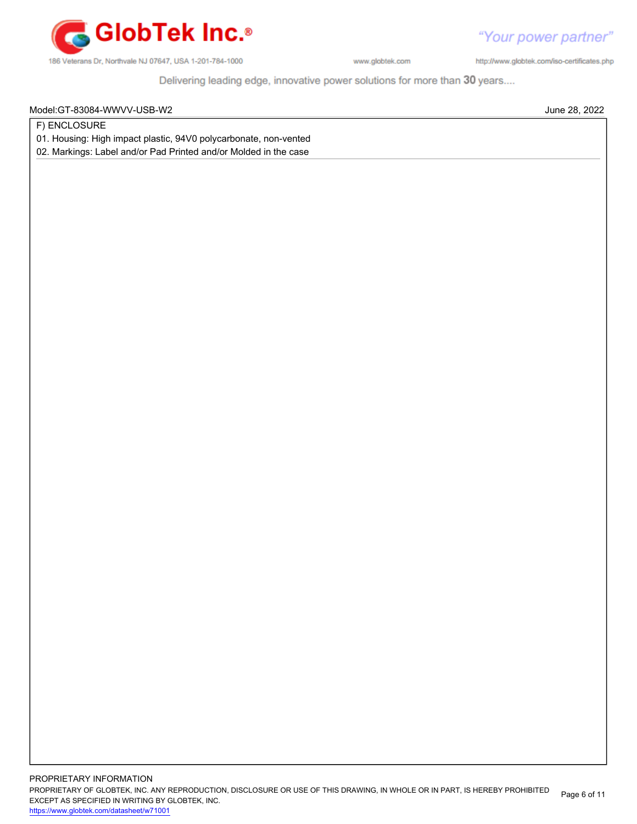

http://www.globtek.com/iso-certificates.php

Delivering leading edge, innovative power solutions for more than 30 years....

Model:GT-83084-WWVV-USB-W2 June 28, 2022

F) ENCLOSURE

01. Housing: High impact plastic, 94V0 polycarbonate, non-vented

02. Markings: Label and/or Pad Printed and/or Molded in the case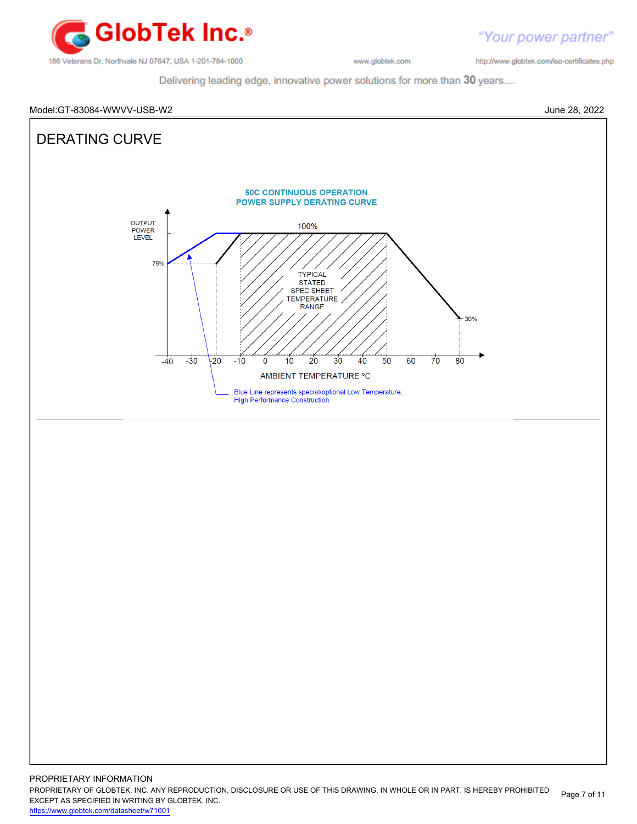

http://www.globtek.com/iso-certificates.php

"Your power partner"

Delivering leading edge, innovative power solutions for more than 30 years....



PROPRIETARY OF GLOBTEK, INC. ANY REPRODUCTION, DISCLOSURE OR USE OF THIS DRAWING, IN WHOLE OR IN PART, IS HEREBY PROHIBITED EXCEPT AS SPECIFIED IN WRITING BY GLOBTEK, INC. Page 7 of 11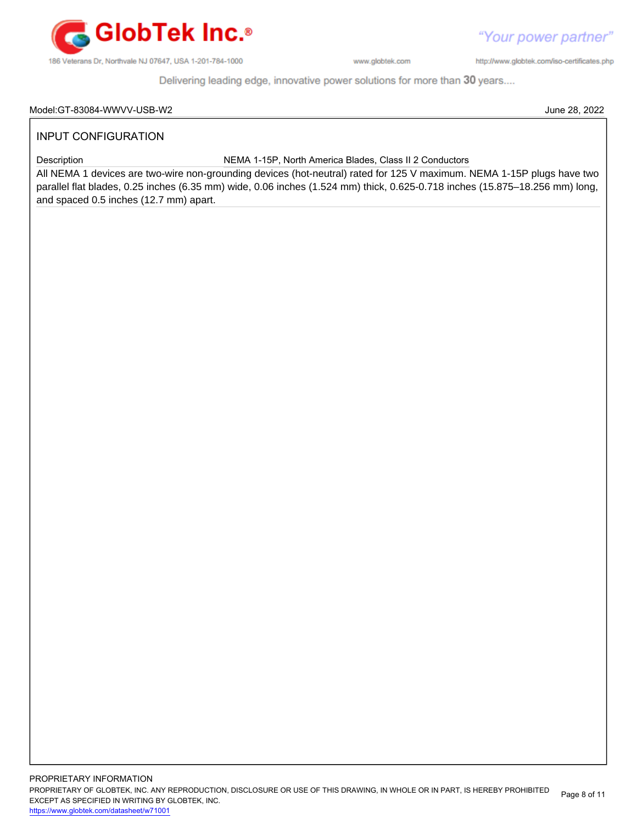

"Your power partner"

http://www.globtek.com/iso-certificates.php

Delivering leading edge, innovative power solutions for more than 30 years....

#### Model:GT-83084-WWVV-USB-W2 June 28, 2022

### INPUT CONFIGURATION

Description NEMA 1-15P, North America Blades, Class II 2 Conductors

All NEMA 1 devices are two-wire non-grounding devices (hot-neutral) rated for 125 V maximum. NEMA 1-15P plugs have two parallel flat blades, 0.25 inches (6.35 mm) wide, 0.06 inches (1.524 mm) thick, 0.625-0.718 inches (15.875–18.256 mm) long, and spaced 0.5 inches (12.7 mm) apart.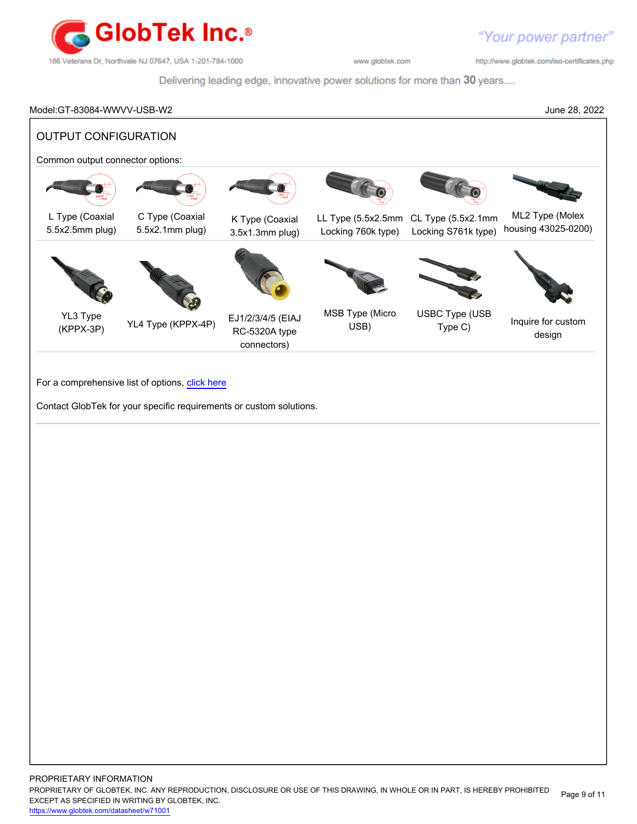

http://www.globtek.com/iso-certificates.php

Delivering leading edge, innovative power solutions for more than 30 years....

# Model:GT-83084-WWVV-USB-W2 June 28, 2022 OUTPUT CONFIGURATION Common output connector options: L Type (Coaxial 5.5x2.5mm plug) C Type (Coaxial 5.5x2.1mm plug) K Type (Coaxial 3.5x1.3mm plug) LL Type (5.5x2.5mm CL Type (5.5x2.1mm Locking 760k type) Locking S761k type) ML2 Type (Molex housing 43025-0200) YL3 Type (KPPX-3P) YL4 Type (KPPX-4P) EJ1/2/3/4/5 (EIAJ RC-5320A type connectors) MSB Type (Micro USB) USBC Type (USB Type (CCC Inquire for custom design For a comprehensive list of options, [click here](https://en.globtek.com/globtek-output-cordsets/) Contact GlobTek for your specific requirements or custom solutions.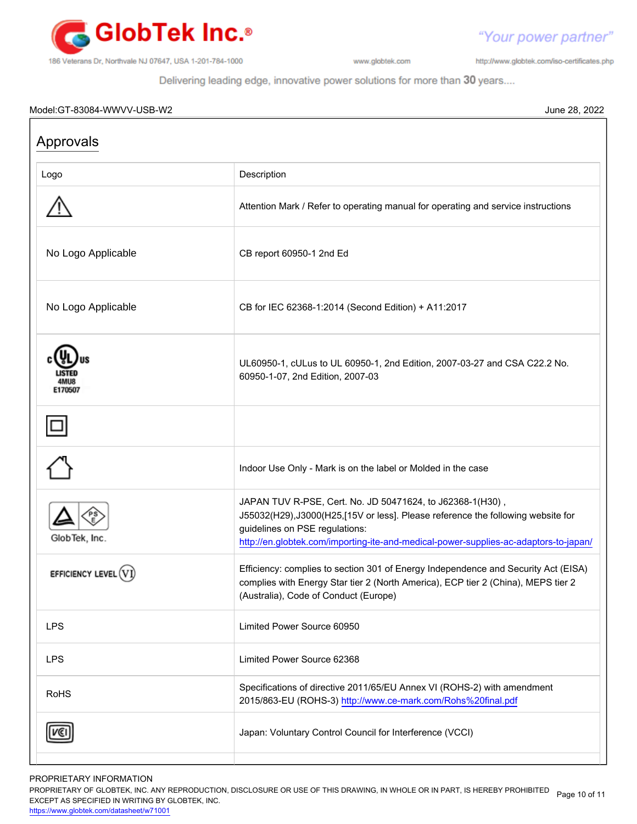

http://www.globtek.com/iso-certificates.php

"Your power partner"

Delivering leading edge, innovative power solutions for more than 30 years....

#### Model:GT-83084-WWVV-USB-W2 June 28, 2022

| Approvals          |                                                                                                                                                                                                                                                                         |  |  |
|--------------------|-------------------------------------------------------------------------------------------------------------------------------------------------------------------------------------------------------------------------------------------------------------------------|--|--|
| Logo               | Description                                                                                                                                                                                                                                                             |  |  |
|                    | Attention Mark / Refer to operating manual for operating and service instructions                                                                                                                                                                                       |  |  |
| No Logo Applicable | CB report 60950-1 2nd Ed                                                                                                                                                                                                                                                |  |  |
| No Logo Applicable | CB for IEC 62368-1:2014 (Second Edition) + A11:2017                                                                                                                                                                                                                     |  |  |
| <b>E170507</b>     | UL60950-1, cULus to UL 60950-1, 2nd Edition, 2007-03-27 and CSA C22.2 No.<br>60950-1-07, 2nd Edition, 2007-03                                                                                                                                                           |  |  |
|                    |                                                                                                                                                                                                                                                                         |  |  |
|                    | Indoor Use Only - Mark is on the label or Molded in the case                                                                                                                                                                                                            |  |  |
| GlobTek, Inc.      | JAPAN TUV R-PSE, Cert. No. JD 50471624, to J62368-1(H30),<br>J55032(H29), J3000(H25,[15V or less]. Please reference the following website for<br>guidelines on PSE regulations:<br>http://en.globtek.com/importing-ite-and-medical-power-supplies-ac-adaptors-to-japan/ |  |  |
| EFFICIENCY LEY     | Efficiency: complies to section 301 of Energy Independence and Security Act (EISA)<br>complies with Energy Star tier 2 (North America), ECP tier 2 (China), MEPS tier 2<br>(Australia), Code of Conduct (Europe)                                                        |  |  |
| <b>LPS</b>         | Limited Power Source 60950                                                                                                                                                                                                                                              |  |  |
| <b>LPS</b>         | Limited Power Source 62368                                                                                                                                                                                                                                              |  |  |
| <b>RoHS</b>        | Specifications of directive 2011/65/EU Annex VI (ROHS-2) with amendment<br>2015/863-EU (ROHS-3) http://www.ce-mark.com/Rohs%20final.pdf                                                                                                                                 |  |  |
|                    | Japan: Voluntary Control Council for Interference (VCCI)                                                                                                                                                                                                                |  |  |
|                    |                                                                                                                                                                                                                                                                         |  |  |

PROPRIETARY INFORMATION

PROPRIETARY OF GLOBTEK, INC. ANY REPRODUCTION, DISCLOSURE OR USE OF THIS DRAWING, IN WHOLE OR IN PART, IS HEREBY PROHIBITED Page 10 of 11<br>EXALER 10 OREGIEIER WILKENIG BY OLOREEK WO EXCEPT AS SPECIFIED IN WRITING BY GLOBTEK, INC.